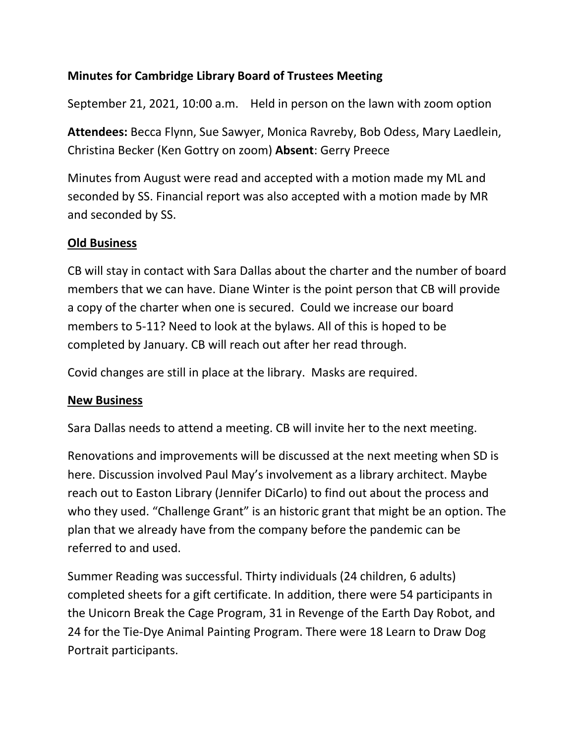## **Minutes for Cambridge Library Board of Trustees Meeting**

September 21, 2021, 10:00 a.m. Held in person on the lawn with zoom option

**Attendees:** Becca Flynn, Sue Sawyer, Monica Ravreby, Bob Odess, Mary Laedlein, Christina Becker (Ken Gottry on zoom) **Absent**: Gerry Preece

Minutes from August were read and accepted with a motion made my ML and seconded by SS. Financial report was also accepted with a motion made by MR and seconded by SS.

## **Old Business**

CB will stay in contact with Sara Dallas about the charter and the number of board members that we can have. Diane Winter is the point person that CB will provide a copy of the charter when one is secured. Could we increase our board members to 5-11? Need to look at the bylaws. All of this is hoped to be completed by January. CB will reach out after her read through.

Covid changes are still in place at the library. Masks are required.

## **New Business**

Sara Dallas needs to attend a meeting. CB will invite her to the next meeting.

Renovations and improvements will be discussed at the next meeting when SD is here. Discussion involved Paul May's involvement as a library architect. Maybe reach out to Easton Library (Jennifer DiCarlo) to find out about the process and who they used. "Challenge Grant" is an historic grant that might be an option. The plan that we already have from the company before the pandemic can be referred to and used.

Summer Reading was successful. Thirty individuals (24 children, 6 adults) completed sheets for a gift certificate. In addition, there were 54 participants in the Unicorn Break the Cage Program, 31 in Revenge of the Earth Day Robot, and 24 for the Tie-Dye Animal Painting Program. There were 18 Learn to Draw Dog Portrait participants.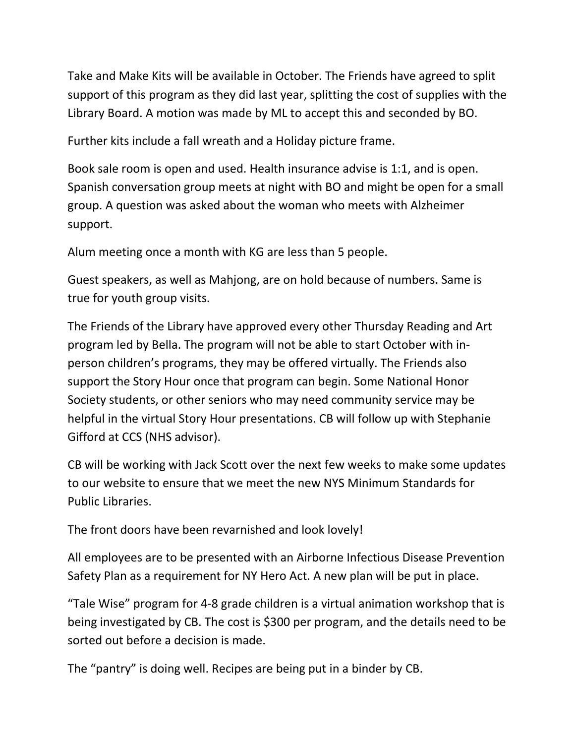Take and Make Kits will be available in October. The Friends have agreed to split support of this program as they did last year, splitting the cost of supplies with the Library Board. A motion was made by ML to accept this and seconded by BO.

Further kits include a fall wreath and a Holiday picture frame.

Book sale room is open and used. Health insurance advise is 1:1, and is open. Spanish conversation group meets at night with BO and might be open for a small group. A question was asked about the woman who meets with Alzheimer support.

Alum meeting once a month with KG are less than 5 people.

Guest speakers, as well as Mahjong, are on hold because of numbers. Same is true for youth group visits.

The Friends of the Library have approved every other Thursday Reading and Art program led by Bella. The program will not be able to start October with inperson children's programs, they may be offered virtually. The Friends also support the Story Hour once that program can begin. Some National Honor Society students, or other seniors who may need community service may be helpful in the virtual Story Hour presentations. CB will follow up with Stephanie Gifford at CCS (NHS advisor).

CB will be working with Jack Scott over the next few weeks to make some updates to our website to ensure that we meet the new NYS Minimum Standards for Public Libraries.

The front doors have been revarnished and look lovely!

All employees are to be presented with an Airborne Infectious Disease Prevention Safety Plan as a requirement for NY Hero Act. A new plan will be put in place.

"Tale Wise" program for 4-8 grade children is a virtual animation workshop that is being investigated by CB. The cost is \$300 per program, and the details need to be sorted out before a decision is made.

The "pantry" is doing well. Recipes are being put in a binder by CB.